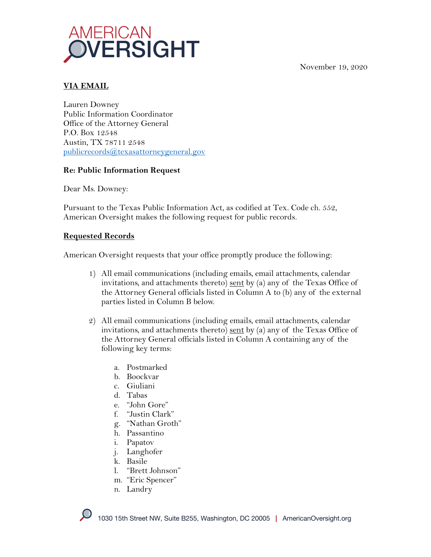November 19, 2020



## **VIA EMAIL**

Lauren Downey Public Information Coordinator Office of the Attorney General P.O. Box 12548 Austin, TX 78711 2548 publicrecords@texasattorneygeneral.gov

#### **Re: Public Information Request**

Dear Ms. Downey:

Pursuant to the Texas Public Information Act, as codified at Tex. Code ch. 552, American Oversight makes the following request for public records.

### **Requested Records**

American Oversight requests that your office promptly produce the following:

- 1) All email communications (including emails, email attachments, calendar invitations, and attachments thereto) sent by (a) any of the Texas Office of the Attorney General officials listed in Column A to (b) any of the external parties listed in Column B below.
- 2) All email communications (including emails, email attachments, calendar invitations, and attachments thereto) sent by (a) any of the Texas Office of the Attorney General officials listed in Column A containing any of the following key terms:
	- a. Postmarked
	- b. Boockvar
	- c. Giuliani
	- d. Tabas
	- e. "John Gore"
	- f. "Justin Clark"
	- g. "Nathan Groth"
	- h. Passantino
	- i. Papatov
	- j. Langhofer
	- k. Basile
	- l. "Brett Johnson"
	- m. "Eric Spencer"
	- n. Landry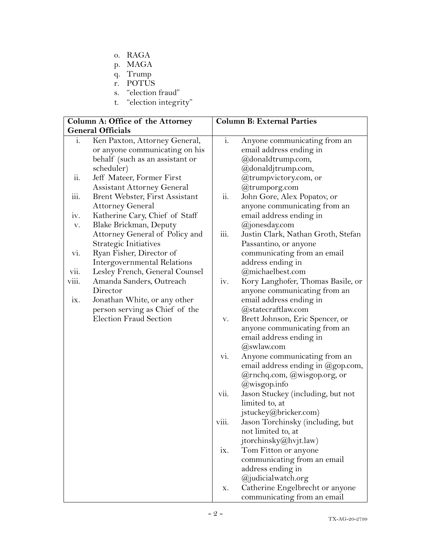- o. RAGA
- p. MAGA
- q. Trump
- r. POTUS
- s. "election fraud"
- t. "election integrity"

| Column A: Office of the Attorney |                                   | <b>Column B: External Parties</b> |                                    |
|----------------------------------|-----------------------------------|-----------------------------------|------------------------------------|
| <b>General Officials</b>         |                                   |                                   |                                    |
| 1.                               | Ken Paxton, Attorney General,     | $i$ .                             | Anyone communicating from an       |
|                                  | or anyone communicating on his    |                                   | email address ending in            |
|                                  | behalf (such as an assistant or   |                                   | @donaldtrump.com,                  |
|                                  | scheduler)                        |                                   | @donaldjtrump.com,                 |
| $\ddot{\text{ii}}$ .             | Jeff Mateer, Former First         |                                   | @trumpvictory.com, or              |
|                                  | <b>Assistant Attorney General</b> |                                   | @trumporg.com                      |
| $\rm iii.$                       | Brent Webster, First Assistant    | ii.                               | John Gore, Alex Popatov, or        |
|                                  | <b>Attorney General</b>           |                                   | anyone communicating from an       |
| iv.                              | Katherine Cary, Chief of Staff    |                                   | email address ending in            |
| V.                               | Blake Brickman, Deputy            |                                   | @jonesday.com                      |
|                                  | Attorney General of Policy and    | iii.                              | Justin Clark, Nathan Groth, Stefan |
|                                  | Strategic Initiatives             |                                   | Passantino, or anyone              |
| vi.                              | Ryan Fisher, Director of          |                                   | communicating from an email        |
|                                  | Intergovernmental Relations       |                                   | address ending in                  |
| vii.                             | Lesley French, General Counsel    |                                   | @michaelbest.com                   |
| viii.                            | Amanda Sanders, Outreach          | iv.                               | Kory Langhofer, Thomas Basile, or  |
|                                  | Director                          |                                   | anyone communicating from an       |
| ix.                              | Jonathan White, or any other      |                                   | email address ending in            |
|                                  | person serving as Chief of the    |                                   | @statecraftlaw.com                 |
|                                  | <b>Election Fraud Section</b>     | V.                                | Brett Johnson, Eric Spencer, or    |
|                                  |                                   |                                   | anyone communicating from an       |
|                                  |                                   |                                   | email address ending in            |
|                                  |                                   |                                   | @swlaw.com                         |
|                                  |                                   | vi.                               | Anyone communicating from an       |
|                                  |                                   |                                   | email address ending in @gop.com,  |
|                                  |                                   |                                   | @rnchq.com, @wisgop.org, or        |
|                                  |                                   |                                   | @wisgop.info                       |
|                                  |                                   | vii.                              | Jason Stuckey (including, but not  |
|                                  |                                   |                                   | limited to, at                     |
|                                  |                                   |                                   | jstuckey@bricker.com)              |
|                                  |                                   | viii.                             | Jason Torchinsky (including, but   |
|                                  |                                   |                                   | not limited to, at                 |
|                                  |                                   |                                   | jtorchinsky@hvjt.law)              |
|                                  |                                   | ix.                               | Tom Fitton or anyone               |
|                                  |                                   |                                   | communicating from an email        |
|                                  |                                   |                                   | address ending in                  |
|                                  |                                   |                                   | @judicialwatch.org                 |
|                                  |                                   | х.                                | Catherine Engelbrecht or anyone    |
|                                  |                                   |                                   | communicating from an email        |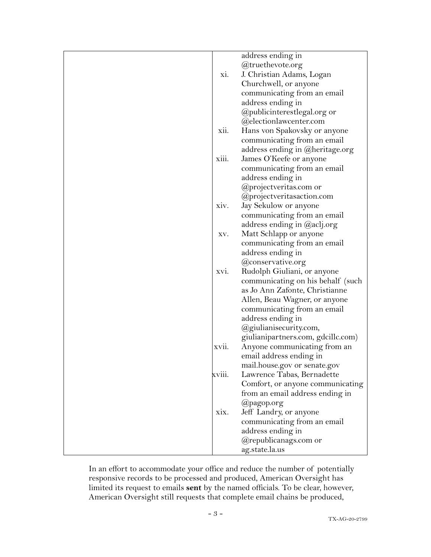|        | address ending in                  |
|--------|------------------------------------|
|        | @truethevote.org                   |
| xi.    | J. Christian Adams, Logan          |
|        | Churchwell, or anyone              |
|        | communicating from an email        |
|        | address ending in                  |
|        | @publicinterestlegal.org or        |
|        | @electionlawcenter.com             |
| xii.   | Hans von Spakovsky or anyone       |
|        | communicating from an email        |
|        | address ending in @heritage.org    |
| xiii.  | James O'Keefe or anyone            |
|        | communicating from an email        |
|        | address ending in                  |
|        | @projectveritas.com or             |
|        | @projectveritasaction.com          |
| xiv.   | Jay Sekulow or anyone              |
|        | communicating from an email        |
|        | address ending in @aclj.org        |
|        | Matt Schlapp or anyone             |
| XV.    |                                    |
|        | communicating from an email        |
|        | address ending in                  |
|        | @conservative.org                  |
| XVI.   | Rudolph Giuliani, or anyone        |
|        | communicating on his behalf (such  |
|        | as Jo Ann Zafonte, Christianne     |
|        | Allen, Beau Wagner, or anyone      |
|        | communicating from an email        |
|        | address ending in                  |
|        | @giulianisecurity.com,             |
|        | giulianipartners.com, gdcillc.com) |
| XVII.  | Anyone communicating from an       |
|        | email address ending in            |
|        | mail.house.gov or senate.gov       |
| xviii. | Lawrence Tabas, Bernadette         |
|        | Comfort, or anyone communicating   |
|        | from an email address ending in    |
|        | @pagop.org                         |
| XIX.   | Jeff Landry, or anyone             |
|        | communicating from an email        |
|        | address ending in                  |
|        | @republicanags.com or              |
|        | ag.state.la.us                     |

In an effort to accommodate your office and reduce the number of potentially responsive records to be processed and produced, American Oversight has limited its request to emails **sent** by the named officials. To be clear, however, American Oversight still requests that complete email chains be produced,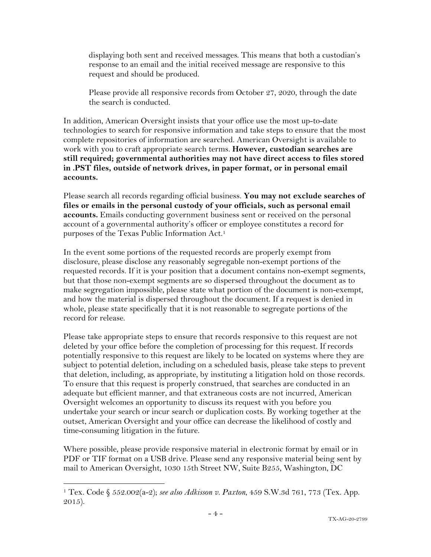displaying both sent and received messages. This means that both a custodian's response to an email and the initial received message are responsive to this request and should be produced.

Please provide all responsive records from October 27, 2020, through the date the search is conducted.

In addition, American Oversight insists that your office use the most up-to-date technologies to search for responsive information and take steps to ensure that the most complete repositories of information are searched. American Oversight is available to work with you to craft appropriate search terms. **However, custodian searches are still required; governmental authorities may not have direct access to files stored in .PST files, outside of network drives, in paper format, or in personal email accounts.**

Please search all records regarding official business. **You may not exclude searches of files or emails in the personal custody of your officials, such as personal email accounts.** Emails conducting government business sent or received on the personal account of a governmental authority's officer or employee constitutes a record for purposes of the Texas Public Information Act.1

In the event some portions of the requested records are properly exempt from disclosure, please disclose any reasonably segregable non-exempt portions of the requested records. If it is your position that a document contains non-exempt segments, but that those non-exempt segments are so dispersed throughout the document as to make segregation impossible, please state what portion of the document is non-exempt, and how the material is dispersed throughout the document. If a request is denied in whole, please state specifically that it is not reasonable to segregate portions of the record for release.

Please take appropriate steps to ensure that records responsive to this request are not deleted by your office before the completion of processing for this request. If records potentially responsive to this request are likely to be located on systems where they are subject to potential deletion, including on a scheduled basis, please take steps to prevent that deletion, including, as appropriate, by instituting a litigation hold on those records. To ensure that this request is properly construed, that searches are conducted in an adequate but efficient manner, and that extraneous costs are not incurred, American Oversight welcomes an opportunity to discuss its request with you before you undertake your search or incur search or duplication costs. By working together at the outset, American Oversight and your office can decrease the likelihood of costly and time-consuming litigation in the future.

Where possible, please provide responsive material in electronic format by email or in PDF or TIF format on a USB drive. Please send any responsive material being sent by mail to American Oversight, 1030 15th Street NW, Suite B255, Washington, DC

<sup>1</sup> Tex. Code § 552.002(a-2); *see also Adkisson v. Paxton*, 459 S.W.3d 761, 773 (Tex. App. 2015).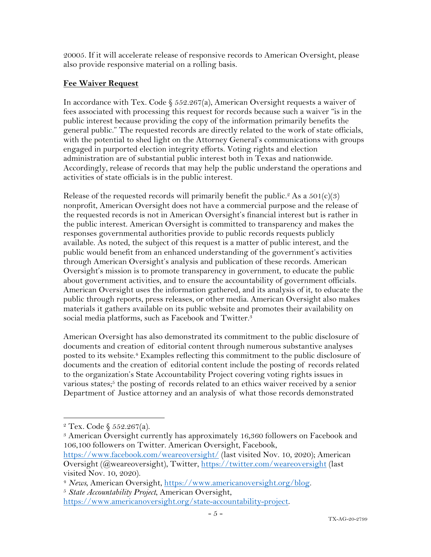20005. If it will accelerate release of responsive records to American Oversight, please also provide responsive material on a rolling basis.

# **Fee Waiver Request**

In accordance with Tex. Code  $\S 552.267(a)$ , American Oversight requests a waiver of fees associated with processing this request for records because such a waiver "is in the public interest because providing the copy of the information primarily benefits the general public." The requested records are directly related to the work of state officials, with the potential to shed light on the Attorney General's communications with groups engaged in purported election integrity efforts. Voting rights and election administration are of substantial public interest both in Texas and nationwide. Accordingly, release of records that may help the public understand the operations and activities of state officials is in the public interest.

Release of the requested records will primarily benefit the public.<sup>2</sup> As a  $501(c)(3)$ nonprofit, American Oversight does not have a commercial purpose and the release of the requested records is not in American Oversight's financial interest but is rather in the public interest. American Oversight is committed to transparency and makes the responses governmental authorities provide to public records requests publicly available. As noted, the subject of this request is a matter of public interest, and the public would benefit from an enhanced understanding of the government's activities through American Oversight's analysis and publication of these records. American Oversight's mission is to promote transparency in government, to educate the public about government activities, and to ensure the accountability of government officials. American Oversight uses the information gathered, and its analysis of it, to educate the public through reports, press releases, or other media. American Oversight also makes materials it gathers available on its public website and promotes their availability on social media platforms, such as Facebook and Twitter.<sup>3</sup>

American Oversight has also demonstrated its commitment to the public disclosure of documents and creation of editorial content through numerous substantive analyses posted to its website.<sup>4</sup> Examples reflecting this commitment to the public disclosure of documents and the creation of editorial content include the posting of records related to the organization's State Accountability Project covering voting rights issues in various states;<sup>5</sup> the posting of records related to an ethics waiver received by a senior Department of Justice attorney and an analysis of what those records demonstrated

<sup>2</sup> Tex. Code § 552.267(a).

<sup>&</sup>lt;sup>3</sup> American Oversight currently has approximately 16,360 followers on Facebook and 106,100 followers on Twitter. American Oversight, Facebook,

https://www.facebook.com/weareoversight/ (last visited Nov. 10, 2020); American Oversight (@weareoversight), Twitter, https://twitter.com/weareoversight (last visited Nov. 10, 2020).

<sup>4</sup> *News*, American Oversight, https://www.americanoversight.org/blog. 5 *State Accountability Project*, American Oversight,

https://www.americanoversight.org/state-accountability-project.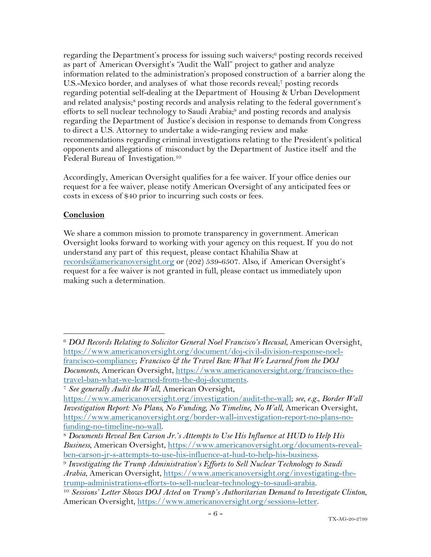regarding the Department's process for issuing such waivers;<sup>6</sup> posting records received as part of American Oversight's "Audit the Wall" project to gather and analyze information related to the administration's proposed construction of a barrier along the U.S.-Mexico border, and analyses of what those records reveal;7 posting records regarding potential self-dealing at the Department of Housing & Urban Development and related analysis;<sup>8</sup> posting records and analysis relating to the federal government's efforts to sell nuclear technology to Saudi Arabia;<sup>9</sup> and posting records and analysis regarding the Department of Justice's decision in response to demands from Congress to direct a U.S. Attorney to undertake a wide-ranging review and make recommendations regarding criminal investigations relating to the President's political opponents and allegations of misconduct by the Department of Justice itself and the Federal Bureau of Investigation.10

Accordingly, American Oversight qualifies for a fee waiver. If your office denies our request for a fee waiver, please notify American Oversight of any anticipated fees or costs in excess of \$40 prior to incurring such costs or fees.

### **Conclusion**

We share a common mission to promote transparency in government. American Oversight looks forward to working with your agency on this request. If you do not understand any part of this request, please contact Khahilia Shaw at records@americanoversight.org or (202) 539-6507. Also, if American Oversight's request for a fee waiver is not granted in full, please contact us immediately upon making such a determination.

<sup>6</sup> *DOJ Records Relating to Solicitor General Noel Francisco's Recusal*, American Oversight, https://www.americanoversight.org/document/doj-civil-division-response-noelfrancisco-compliance; *Francisco & the Travel Ban: What We Learned from the DOJ Documents*, American Oversight, https://www.americanoversight.org/francisco-thetravel-ban-what-we-learned-from-the-doj-documents.

<sup>7</sup> *See generally Audit the Wall*, American Oversight,

https://www.americanoversight.org/investigation/audit-the-wall; *see, e.g.*, *Border Wall Investigation Report: No Plans, No Funding, No Timeline, No Wall*, American Oversight, https://www.americanoversight.org/border-wall-investigation-report-no-plans-nofunding-no-timeline-no-wall. 8 *Documents Reveal Ben Carson Jr.'s Attempts to Use His Influence at HUD to Help His* 

*Business*, American Oversight, https://www.americanoversight.org/documents-revealben-carson-jr-s-attempts-to-use-his-influence-at-hud-to-help-his-business. 9 *Investigating the Trump Administration's Efforts to Sell Nuclear Technology to Saudi* 

*Arabia*, American Oversight, https://www.americanoversight.org/investigating-the-<br>trump-administrations-efforts-to-sell-nuclear-technology-to-saudi-arabia.

<sup>&</sup>lt;sup>10</sup> Sessions' Letter Shows DOJ Acted on Trump's Authoritarian Demand to Investigate Clinton, American Oversight, https://www.americanoversight.org/sessions-letter.